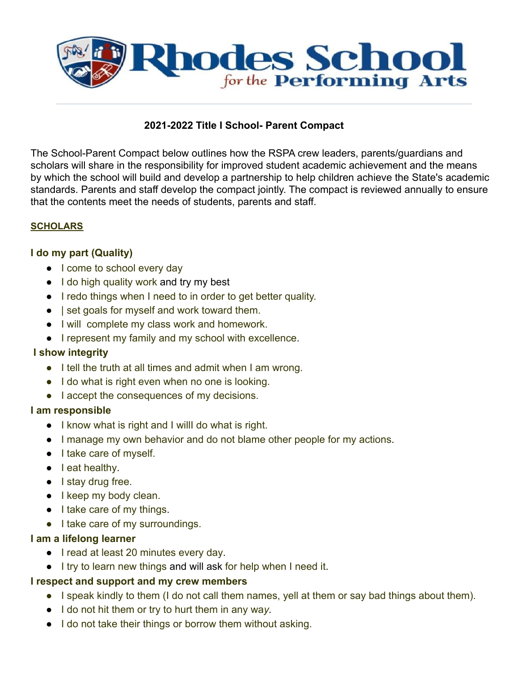

# **2021-2022 Title I School- Parent Compact**

The School-Parent Compact below outlines how the RSPA crew leaders, parents/guardians and scholars will share in the responsibility for improved student academic achievement and the means by which the school will build and develop a partnership to help children achieve the State's academic standards. Parents and staff develop the compact jointly. The compact is reviewed annually to ensure that the contents meet the needs of students, parents and staff.

### **SCHOLARS**

### **I do my part (Quality)**

- I come to school every day
- I do high quality work and try my best
- I redo things when I need to in order to get better quality.
- | set goals for myself and work toward them.
- I will complete my class work and homework.
- I represent my family and my school with excellence.

#### **I show integrity**

- I tell the truth at all times and admit when I am wrong.
- I do what is right even when no one is looking.
- I accept the consequences of my decisions.

#### **I am responsible**

- I know what is right and I willI do what is right.
- I manage my own behavior and do not blame other people for my actions.
- I take care of myself.
- leat healthy.
- I stay drug free.
- I keep my body clean.
- I take care of my things.
- I take care of my surroundings.

### **I am a lifelong learner**

- I read at least 20 minutes every day.
- I try to learn new things and will ask for help when I need it.

### **I respect and support and my crew members**

- I speak kindly to them (I do not call them names, yell at them or say bad things about them).
- I do not hit them or try to hurt them in any wa*y.*
- I do not take their things or borrow them without asking.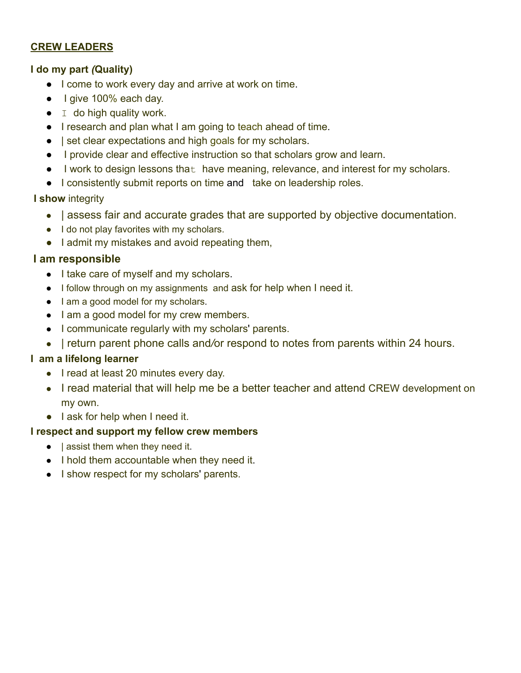# **CREW LEADERS**

# **I do my part** *(***Quality)**

- I come to work every day and arrive at work on time.
- I give 100% each day.
- $\bullet$  I do high quality work.
- I research and plan what I am going to teach ahead of time.
- | set clear expectations and high goals for my scholars.
- I provide clear and effective instruction so that scholars grow and learn.
- I work to design lessons that have meaning, relevance, and interest for my scholars.
- I consistently submit reports on time and take on leadership roles.

# **I show** integrity

- | assess fair and accurate grades that are supported by objective documentation.
- I do not play favorites with my scholars.
- I admit my mistakes and avoid repeating them,

# **I am responsible**

- I take care of myself and my scholars.
- I follow through on my assignments and ask for help when I need it.
- I am a good model for my scholars.
- I am a good model for my crew members.
- I communicate regularly with my scholars' parents.
- | return parent phone calls and*/*or respond to notes from parents within 24 hours.

# **I am a lifelong learner**

- I read at least 20 minutes every day.
- I read material that will help me be a better teacher and attend CREW development on my own.
- I ask for help when I need it.

# **I respect and support my fellow crew members**

- $\bullet$  | assist them when they need it.
- I hold them accountable when they need it.
- I show respect for my scholars' parents.